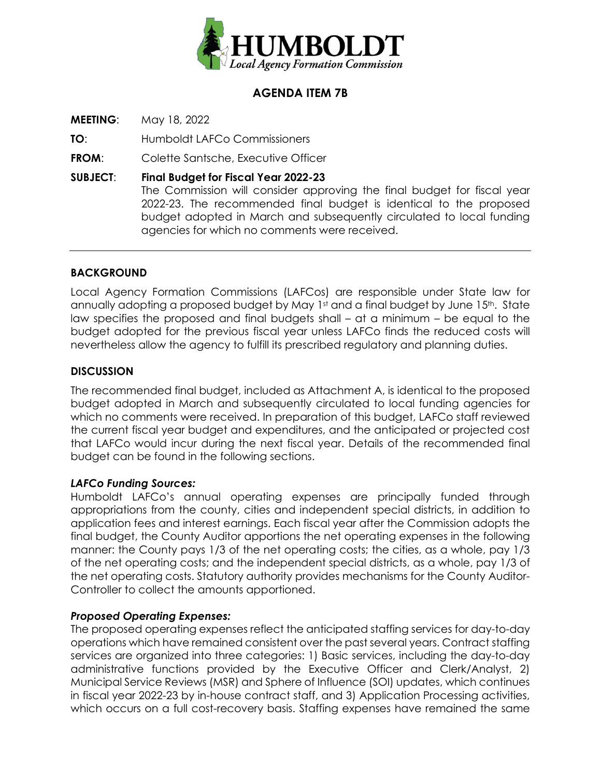

## **AGENDA ITEM 7B**

**MEETING**: May 18, 2022

**TO**: Humboldt LAFCo Commissioners

**FROM**: Colette Santsche, Executive Officer

**SUBJECT**: **Final Budget for Fiscal Year 2022-23**  The Commission will consider approving the final budget for fiscal year 2022-23. The recommended final budget is identical to the proposed budget adopted in March and subsequently circulated to local funding agencies for which no comments were received.

#### **BACKGROUND**

Local Agency Formation Commissions (LAFCos) are responsible under State law for annually adopting a proposed budget by May 1st and a final budget by June 15th. State law specifies the proposed and final budgets shall – at a minimum – be equal to the budget adopted for the previous fiscal year unless LAFCo finds the reduced costs will nevertheless allow the agency to fulfill its prescribed regulatory and planning duties.

### **DISCUSSION**

The recommended final budget, included as Attachment A, is identical to the proposed budget adopted in March and subsequently circulated to local funding agencies for which no comments were received. In preparation of this budget, LAFCo staff reviewed the current fiscal year budget and expenditures, and the anticipated or projected cost that LAFCo would incur during the next fiscal year. Details of the recommended final budget can be found in the following sections.

#### *LAFCo Funding Sources:*

Humboldt LAFCo's annual operating expenses are principally funded through appropriations from the county, cities and independent special districts, in addition to application fees and interest earnings. Each fiscal year after the Commission adopts the final budget, the County Auditor apportions the net operating expenses in the following manner: the County pays 1/3 of the net operating costs; the cities, as a whole, pay 1/3 of the net operating costs; and the independent special districts, as a whole, pay 1/3 of the net operating costs. Statutory authority provides mechanisms for the County Auditor-Controller to collect the amounts apportioned.

#### *Proposed Operating Expenses:*

The proposed operating expenses reflect the anticipated staffing services for day-to-day operations which have remained consistent over the past several years. Contract staffing services are organized into three categories: 1) Basic services, including the day-to-day administrative functions provided by the Executive Officer and Clerk/Analyst, 2) Municipal Service Reviews (MSR) and Sphere of Influence (SOI) updates, which continues in fiscal year 2022-23 by in-house contract staff, and 3) Application Processing activities, which occurs on a full cost-recovery basis. Staffing expenses have remained the same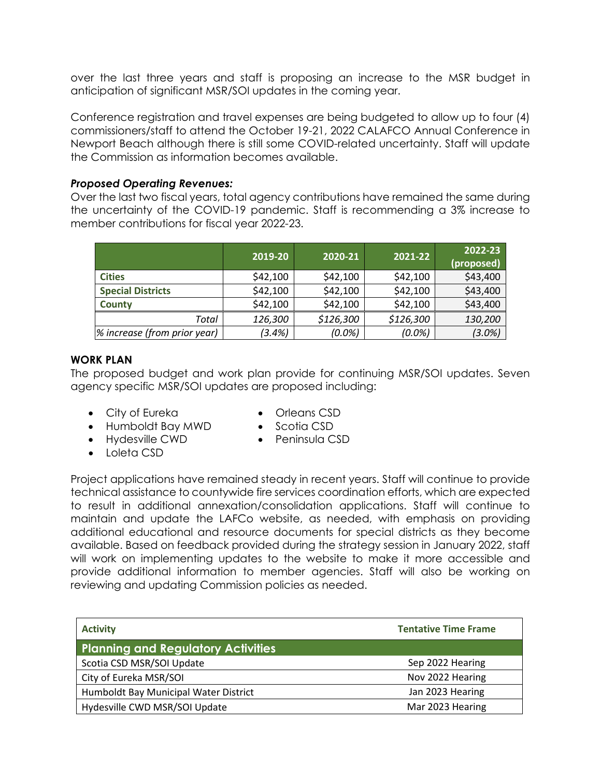over the last three years and staff is proposing an increase to the MSR budget in anticipation of significant MSR/SOI updates in the coming year.

Conference registration and travel expenses are being budgeted to allow up to four (4) commissioners/staff to attend the October 19-21, 2022 CALAFCO Annual Conference in Newport Beach although there is still some COVID-related uncertainty. Staff will update the Commission as information becomes available.

#### *Proposed Operating Revenues:*

Over the last two fiscal years, total agency contributions have remained the same during the uncertainty of the COVID-19 pandemic. Staff is recommending a 3% increase to member contributions for fiscal year 2022-23.

|                              | 2019-20  | 2020-21   | 2021-22   | 2022-23<br>(proposed) $^{\dagger}$ |
|------------------------------|----------|-----------|-----------|------------------------------------|
| <b>Cities</b>                | \$42,100 | \$42,100  | \$42,100  | \$43,400                           |
| <b>Special Districts</b>     | \$42,100 | \$42,100  | \$42,100  | \$43,400                           |
| <b>County</b>                | \$42,100 | \$42,100  | \$42,100  | \$43,400                           |
| Total                        | 126,300  | \$126,300 | \$126,300 | 130,200                            |
| % increase (from prior year) | (3.4%)   | $(0.0\%)$ | $(0.0\%)$ | $(3.0\%)$                          |

#### **WORK PLAN**

The proposed budget and work plan provide for continuing MSR/SOI updates. Seven agency specific MSR/SOI updates are proposed including:

- City of Eureka
- Humboldt Bay MWD
- Hydesville CWD
- Loleta CSD
- Orleans CSD
- Scotia CSD
- Peninsula CSD

Project applications have remained steady in recent years. Staff will continue to provide technical assistance to countywide fire services coordination efforts, which are expected to result in additional annexation/consolidation applications. Staff will continue to maintain and update the LAFCo website, as needed, with emphasis on providing additional educational and resource documents for special districts as they become available. Based on feedback provided during the strategy session in January 2022, staff will work on implementing updates to the website to make it more accessible and provide additional information to member agencies. Staff will also be working on reviewing and updating Commission policies as needed.

| <b>Activity</b>                           | <b>Tentative Time Frame</b> |  |  |
|-------------------------------------------|-----------------------------|--|--|
| <b>Planning and Regulatory Activities</b> |                             |  |  |
| Scotia CSD MSR/SOI Update                 | Sep 2022 Hearing            |  |  |
| City of Eureka MSR/SOI                    | Nov 2022 Hearing            |  |  |
| Humboldt Bay Municipal Water District     | Jan 2023 Hearing            |  |  |
| Hydesville CWD MSR/SOI Update             | Mar 2023 Hearing            |  |  |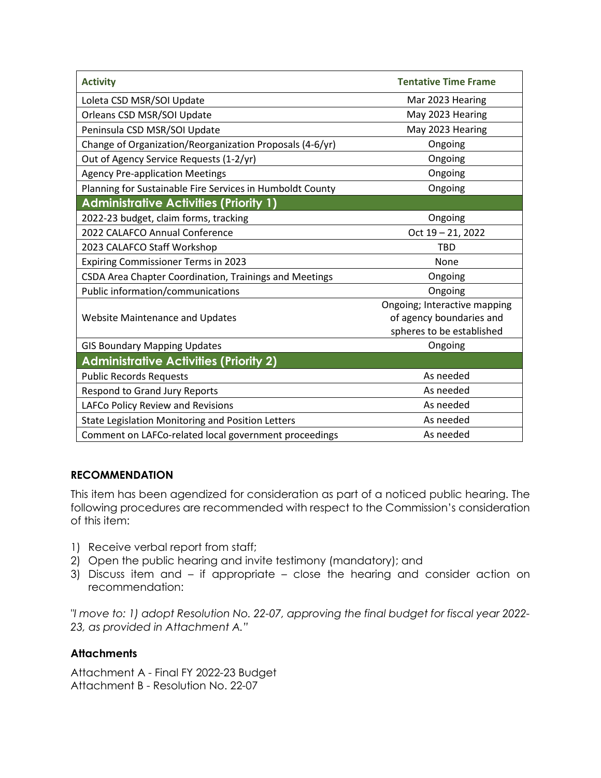| <b>Activity</b>                                           | <b>Tentative Time Frame</b>                                                           |  |  |
|-----------------------------------------------------------|---------------------------------------------------------------------------------------|--|--|
| Loleta CSD MSR/SOI Update                                 | Mar 2023 Hearing                                                                      |  |  |
| Orleans CSD MSR/SOI Update                                | May 2023 Hearing                                                                      |  |  |
| Peninsula CSD MSR/SOI Update                              | May 2023 Hearing                                                                      |  |  |
| Change of Organization/Reorganization Proposals (4-6/yr)  | Ongoing                                                                               |  |  |
| Out of Agency Service Requests (1-2/yr)                   | Ongoing                                                                               |  |  |
| <b>Agency Pre-application Meetings</b>                    | Ongoing                                                                               |  |  |
| Planning for Sustainable Fire Services in Humboldt County | Ongoing                                                                               |  |  |
| <b>Administrative Activities (Priority 1)</b>             |                                                                                       |  |  |
| 2022-23 budget, claim forms, tracking                     | Ongoing                                                                               |  |  |
| 2022 CALAFCO Annual Conference                            | Oct 19 - 21, 2022                                                                     |  |  |
| 2023 CALAFCO Staff Workshop                               | <b>TBD</b>                                                                            |  |  |
| <b>Expiring Commissioner Terms in 2023</b>                | None                                                                                  |  |  |
| CSDA Area Chapter Coordination, Trainings and Meetings    | Ongoing                                                                               |  |  |
| Public information/communications                         | Ongoing                                                                               |  |  |
| <b>Website Maintenance and Updates</b>                    | Ongoing; Interactive mapping<br>of agency boundaries and<br>spheres to be established |  |  |
| <b>GIS Boundary Mapping Updates</b>                       | Ongoing                                                                               |  |  |
| <b>Administrative Activities (Priority 2)</b>             |                                                                                       |  |  |
| <b>Public Records Requests</b>                            | As needed                                                                             |  |  |
| Respond to Grand Jury Reports                             | As needed                                                                             |  |  |
| LAFCo Policy Review and Revisions                         | As needed                                                                             |  |  |
| State Legislation Monitoring and Position Letters         | As needed                                                                             |  |  |
| Comment on LAFCo-related local government proceedings     | As needed                                                                             |  |  |

#### **RECOMMENDATION**

This item has been agendized for consideration as part of a noticed public hearing. The following procedures are recommended with respect to the Commission's consideration of this item:

- 1) Receive verbal report from staff;
- 2) Open the public hearing and invite testimony (mandatory); and
- 3) Discuss item and if appropriate close the hearing and consider action on recommendation:

*"I move to: 1) adopt Resolution No. 22-07, approving the final budget for fiscal year 2022- 23, as provided in Attachment A."* 

#### **Attachments**

Attachment A - Final FY 2022-23 Budget Attachment B - Resolution No. 22-07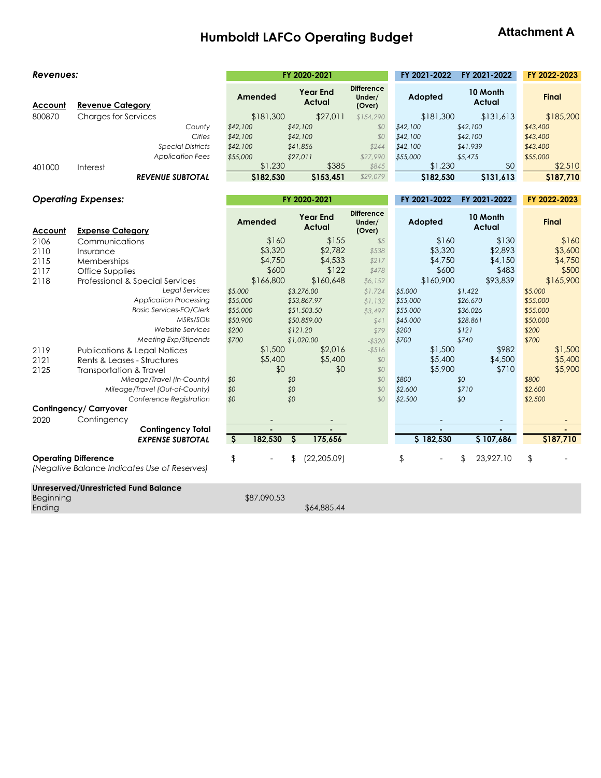# **Humboldt LAFCo Operating Budget**

 $\mathcal{L}^{\text{eff}}$ 

## **Attachment A**

**FY 2021-2022 FY 2021-2022 FY 2022-2023**

#### *Revenues:* **FY 2020-2021**

| Account   | <b>Revenue Category</b>                                                     | Amended                             | <b>Year End</b><br><b>Actual</b> | <b>Difference</b><br>Under/<br>(Over) | Adopted          | 10 Month<br><b>Actual</b> | <b>Final</b>     |
|-----------|-----------------------------------------------------------------------------|-------------------------------------|----------------------------------|---------------------------------------|------------------|---------------------------|------------------|
| 800870    | <b>Charges for Services</b>                                                 | \$181,300                           | \$27,011                         | \$154,290                             | \$181,300        | \$131,613                 | \$185,200        |
|           | County                                                                      | \$42,100                            | \$42,100                         | \$0                                   | \$42,100         | \$42,100                  | \$43,400         |
|           | Cities                                                                      | \$42,100                            | \$42,100                         | \$0                                   | \$42,100         | \$42,100                  | \$43,400         |
|           | <b>Special Districts</b>                                                    | \$42,100                            | \$41,856                         | \$244                                 | \$42,100         | \$41,939                  | \$43,400         |
|           | <b>Application Fees</b>                                                     | \$55,000                            | \$27,011                         | \$27,990                              | \$55,000         | \$5,475                   | \$55,000         |
| 401000    | Interest                                                                    | \$1,230                             | \$385                            | \$845                                 | \$1,230          | \$0                       | \$2,510          |
|           | <b>REVENUE SUBTOTAL</b>                                                     | \$182,530                           | \$153,451                        | \$29,079                              | \$182,530        | \$131,613                 | \$187,710        |
|           | <b>Operating Expenses:</b>                                                  |                                     | FY 2020-2021                     |                                       | FY 2021-2022     | FY 2021-2022              | FY 2022-2023     |
| Account   | <b>Expense Category</b>                                                     | Amended                             | <b>Year End</b><br>Actual        | <b>Difference</b><br>Under/<br>(Over) | Adopted          | 10 Month<br>Actual        | <b>Final</b>     |
| 2106      | Communications                                                              | \$160                               | \$155                            | \$5                                   | \$160            | \$130                     | \$160            |
| 2110      | Insurance                                                                   | \$3,320                             | \$2,782                          | \$538                                 | \$3,320          | \$2,893                   | \$3,600          |
| 2115      | Memberships                                                                 | \$4,750                             | \$4,533                          | \$217                                 | \$4,750          | \$4,150                   | \$4,750          |
| 2117      | Office Supplies                                                             | \$600                               | \$122                            | \$478                                 | \$600            | \$483                     | \$500            |
| 2118      | Professional & Special Services                                             | \$166,800                           | \$160,648                        | \$6,152                               | \$160,900        | \$93,839                  | \$165,900        |
|           | <b>Legal Services</b>                                                       | \$5,000                             | \$3,276.00                       | \$1,724                               | \$5,000          | \$1,422                   | \$5,000          |
|           | <b>Application Processing</b>                                               | \$55,000                            | \$53,867.97                      | \$1,132                               | \$55,000         | \$26,670                  | \$55,000         |
|           | <b>Basic Services-EO/Clerk</b>                                              | \$55,000                            | \$51,503.50                      | \$3,497                               | \$55,000         | \$36,026                  | \$55,000         |
|           | MSRs/SOIs                                                                   | \$50,900                            | \$50,859.00                      | \$41                                  | \$45,000         | \$28,861                  | \$50,000         |
|           | Website Services                                                            | \$200                               | \$121.20                         | \$79                                  | \$200            | \$121                     | \$200            |
|           | Meeting Exp/Stipends                                                        | \$700                               | \$1,020.00                       | $- $320$                              | \$700            | \$740                     | \$700            |
| 2119      | <b>Publications &amp; Legal Notices</b>                                     | \$1,500                             | \$2,016                          | $-$ \$516                             | \$1,500          | \$982                     | \$1,500          |
| 2121      | Rents & Leases - Structures                                                 | \$5,400<br>\$0                      | \$5,400                          | \$0                                   | \$5,400          | \$4,500                   | \$5,400          |
| 2125      | Transportation & Travel<br>Mileage/Travel (In-County)                       |                                     | \$0<br>\$0                       | \$0<br>\$0                            | \$5,900          | \$710<br>\$0              | \$5,900<br>\$800 |
|           | Mileage/Travel (Out-of-County)                                              | \$0<br>\$0                          | \$0                              | \$0                                   | \$800<br>\$2,600 | \$710                     | \$2,600          |
|           | Conference Registration                                                     | \$0                                 | \$0                              | \$0                                   | \$2,500          | \$0                       | \$2,500          |
|           | Contingency/ Carryover                                                      |                                     |                                  |                                       |                  |                           |                  |
| 2020      | Contingency                                                                 |                                     |                                  |                                       |                  |                           |                  |
|           | <b>Contingency Total</b>                                                    |                                     |                                  |                                       |                  |                           |                  |
|           | <b>EXPENSE SUBTOTAL</b>                                                     | $\overline{\mathcal{S}}$<br>182,530 | $\varsigma$<br>175,656           |                                       | \$182,530        | \$107,686                 | \$187,710        |
|           | <b>Operating Difference</b><br>(Negative Balance Indicates Use of Reserves) | \$                                  | (22, 205.09)                     |                                       | $\frac{1}{2}$    | 23,927.10<br>\$           | $\frac{1}{2}$    |
| Beginning | <b>Unreserved/Unrestricted Fund Balance</b>                                 | \$87,090.53                         |                                  |                                       |                  |                           |                  |

Beginning

Ending

\$64,885.44